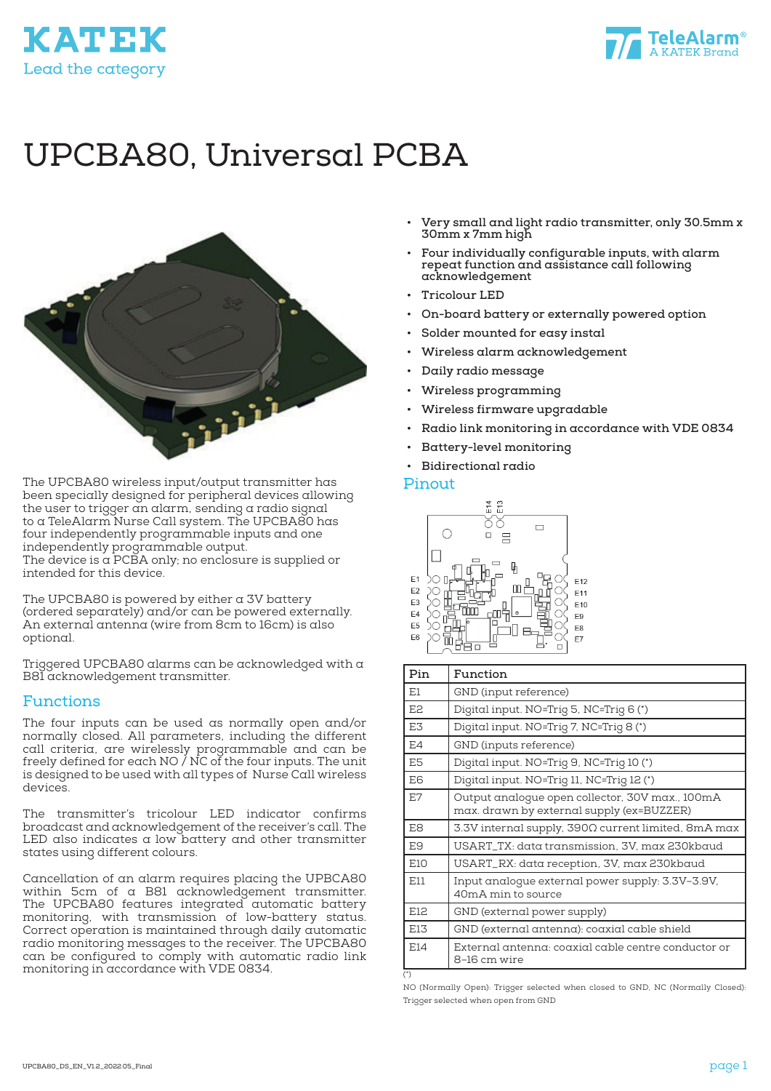



# UPCBA80, Universal PCBA



The UPCBA80 wireless input/output transmitter has been specially designed for peripheral devices allowing the user to trigger an alarm, sending a radio signal to a TeleAlarm Nurse Call system. The UPCBA80 has four independently programmable inputs and one independently programmable output. The device is  $\alpha$  PCBA only; no enclosure is supplied or intended for this device.

The UPCBA80 is powered by either a 3V battery (ordered separately) and/or can be powered externally. An external antenna (wire from 8cm to 16cm) is also optional.

Triggered UPCBA80 alarms can be acknowledged with a B81 acknowledgement transmitter.

#### Functions

The four inputs can be used as normally open and/or normally closed. All parameters, including the different call criteria, are wirelessly programmable and can be freely defined for each NO / NC of the four inputs. The unit is designed to be used with all types of Nurse Call wireless devices.

The transmitter's tricolour LED indicator confirms broadcast and acknowledgement of the receiver's call. The LED also indicates a low battery and other transmitter states using different colours.

Cancellation of an alarm requires placing the UPBCA80 within 5cm of a B81 acknowledgement transmitter. The UPCBA80 features integrated automatic battery monitoring, with transmission of low-battery status. Correct operation is maintained through daily automatic radio monitoring messages to the receiver. The UPCBA80 can be configured to comply with automatic radio link monitoring in accordance with VDE 0834.

- **• Very small and light radio transmitter, only 30.5mm x 30mm x 7mm high**
- **• Four individually configurable inputs, with alarm repeat function and assistance call following acknowledgement**
- **• Tricolour LED**
- **• On-board battery or externally powered option**
- **• Solder mounted for easy instal**
- **• Wireless alarm acknowledgement**
- **• Daily radio message**
- **• Wireless programming**
- **• Wireless firmware upgradable**
- **• Radio link monitoring in accordance with VDE 0834**
- **• Battery-level monitoring**
- **• Bidirectional radio**

#### Pinout



| Pin            | Function                                                                                     |  |
|----------------|----------------------------------------------------------------------------------------------|--|
| E1             | GND (input reference)                                                                        |  |
| E <sub>2</sub> | Digital input. NO=Trig 5, NC=Trig 6(*)                                                       |  |
| E3             | Digital input. NO=Trig 7, NC=Trig 8 (*)                                                      |  |
| E4             | GND (inputs reference)                                                                       |  |
| E5             | Digital input. NO=Trig 9, NC=Trig 10 (*)                                                     |  |
| E6             | Digital input. NO=Trig 11, NC=Trig 12 (*)                                                    |  |
| E7             | Output analoque open collector, 30V max., 100mA<br>max. drawn by external supply (ex=BUZZER) |  |
| E8             | 3.3V internal supply, 390Ω current limited, 8mA max                                          |  |
| E9             | USART_TX: data transmission, 3V, max 230kbaud                                                |  |
| E10            | USART_RX: data reception, 3V, max 230kbaud                                                   |  |
| E11            | Input analogue external power supply: 3.3V–3.9V,<br>40mA min to source                       |  |
| E12            | GND (external power supply)                                                                  |  |
| E13            | GND (external antenna): coaxial cable shield                                                 |  |
| E14            | External antenna: coaxial cable centre conductor or<br>8-16 cm wire                          |  |
| $(*)$          |                                                                                              |  |

NO (Normally Open): Trigger selected when closed to GND, NC (Normally Closed): Trigger selected when open from GND